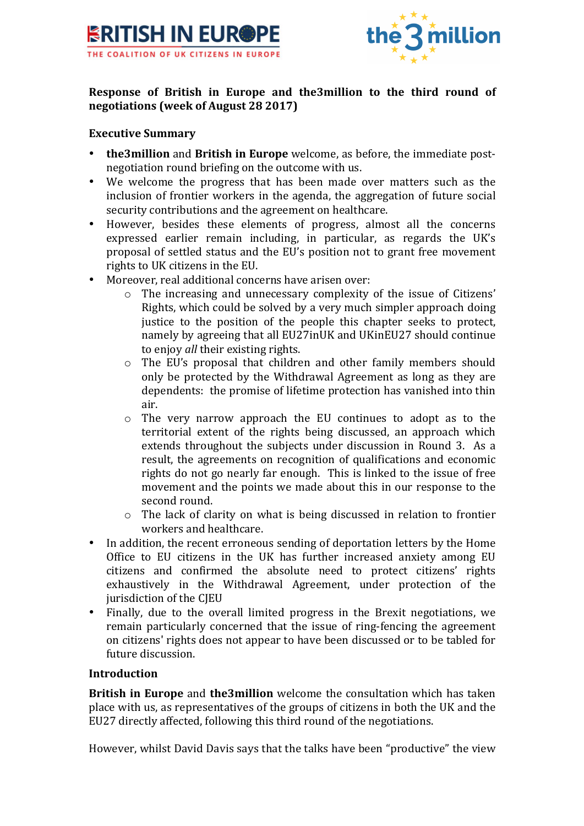



## **Response of British in Europe and the3million to the third round of negotiations (week of August 28 2017)**

### **Executive Summary**

- **the3million** and **British in Europe** welcome, as before, the immediate postnegotiation round briefing on the outcome with us.
- We welcome the progress that has been made over matters such as the inclusion of frontier workers in the agenda, the aggregation of future social security contributions and the agreement on healthcare.
- However, besides these elements of progress, almost all the concerns expressed earlier remain including, in particular, as regards the UK's proposal of settled status and the EU's position not to grant free movement rights to UK citizens in the EU.
- Moreover, real additional concerns have arisen over:
	- $\circ$  The increasing and unnecessary complexity of the issue of Citizens' Rights, which could be solved by a very much simpler approach doing justice to the position of the people this chapter seeks to protect, namely by agreeing that all EU27inUK and UKinEU27 should continue to enjoy *all* their existing rights.
	- $\circ$  The EU's proposal that children and other family members should only be protected by the Withdrawal Agreement as long as they are dependents: the promise of lifetime protection has vanished into thin air.
	- $\circ$  The very narrow approach the EU continues to adopt as to the territorial extent of the rights being discussed, an approach which extends throughout the subjects under discussion in Round 3. As a result, the agreements on recognition of qualifications and economic rights do not go nearly far enough. This is linked to the issue of free movement and the points we made about this in our response to the second round.
	- $\circ$  The lack of clarity on what is being discussed in relation to frontier workers and healthcare.
- In addition, the recent erroneous sending of deportation letters by the Home Office to EU citizens in the UK has further increased anxiety among EU citizens and confirmed the absolute need to protect citizens' rights exhaustively in the Withdrawal Agreement, under protection of the jurisdiction of the CJEU
- Finally, due to the overall limited progress in the Brexit negotiations, we remain particularly concerned that the issue of ring-fencing the agreement on citizens' rights does not appear to have been discussed or to be tabled for future discussion.

#### **Introduction**

**British in Europe** and **the3million** welcome the consultation which has taken place with us, as representatives of the groups of citizens in both the UK and the EU27 directly affected, following this third round of the negotiations.

However, whilst David Davis says that the talks have been "productive" the view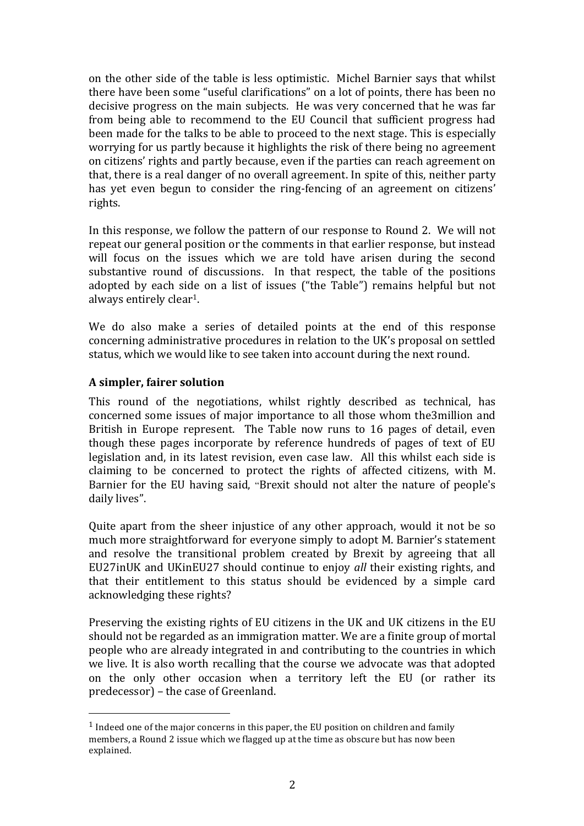on the other side of the table is less optimistic. Michel Barnier says that whilst there have been some "useful clarifications" on a lot of points, there has been no decisive progress on the main subjects. He was very concerned that he was far from being able to recommend to the EU Council that sufficient progress had been made for the talks to be able to proceed to the next stage. This is especially worrying for us partly because it highlights the risk of there being no agreement on citizens' rights and partly because, even if the parties can reach agreement on that, there is a real danger of no overall agreement. In spite of this, neither party has yet even begun to consider the ring-fencing of an agreement on citizens' rights.

In this response, we follow the pattern of our response to Round 2. We will not repeat our general position or the comments in that earlier response, but instead will focus on the issues which we are told have arisen during the second substantive round of discussions. In that respect, the table of the positions adopted by each side on a list of issues ("the Table") remains helpful but not always entirely clear<sup>1</sup>.

We do also make a series of detailed points at the end of this response concerning administrative procedures in relation to the UK's proposal on settled status, which we would like to see taken into account during the next round.

## **A simpler, fairer solution**

 

This round of the negotiations, whilst rightly described as technical, has concerned some issues of major importance to all those whom the3million and British in Europe represent. The Table now runs to 16 pages of detail, even though these pages incorporate by reference hundreds of pages of text of EU legislation and, in its latest revision, even case law. All this whilst each side is claiming to be concerned to protect the rights of affected citizens, with M. Barnier for the EU having said, "Brexit should not alter the nature of people's daily lives".

Quite apart from the sheer injustice of any other approach, would it not be so much more straightforward for everyone simply to adopt M. Barnier's statement and resolve the transitional problem created by Brexit by agreeing that all EU27inUK and UKinEU27 should continue to enjoy *all* their existing rights, and that their entitlement to this status should be evidenced by a simple card acknowledging these rights?

Preserving the existing rights of EU citizens in the UK and UK citizens in the EU should not be regarded as an immigration matter. We are a finite group of mortal people who are already integrated in and contributing to the countries in which we live. It is also worth recalling that the course we advocate was that adopted on the only other occasion when a territory left the EU (or rather its predecessor) – the case of Greenland.

 $1$  Indeed one of the major concerns in this paper, the EU position on children and family members, a Round 2 issue which we flagged up at the time as obscure but has now been explained.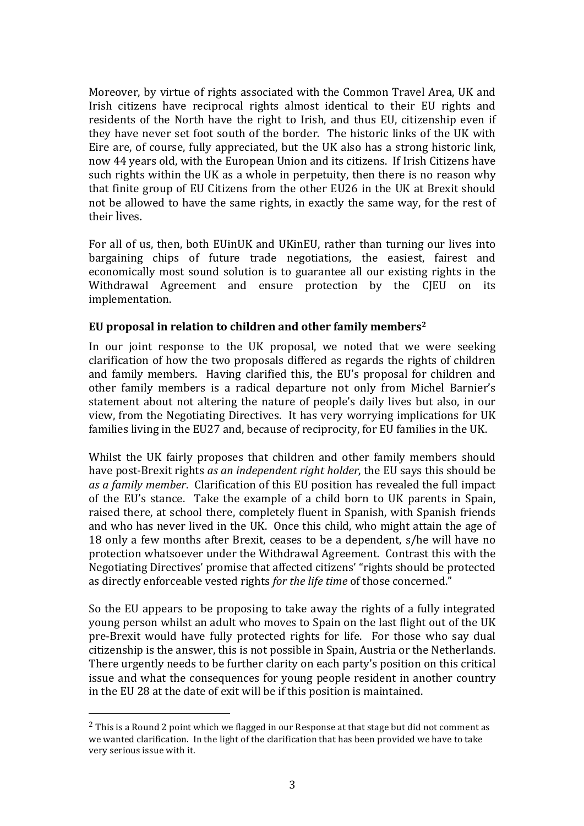Moreover, by virtue of rights associated with the Common Travel Area, UK and Irish citizens have reciprocal rights almost identical to their EU rights and residents of the North have the right to Irish, and thus EU, citizenship even if they have never set foot south of the border. The historic links of the UK with Eire are, of course, fully appreciated, but the UK also has a strong historic link, now 44 years old, with the European Union and its citizens. If Irish Citizens have such rights within the UK as a whole in perpetuity, then there is no reason why that finite group of EU Citizens from the other EU26 in the UK at Brexit should not be allowed to have the same rights, in exactly the same way, for the rest of their lives.

For all of us, then, both EUinUK and UKinEU, rather than turning our lives into bargaining chips of future trade negotiations, the easiest, fairest and economically most sound solution is to guarantee all our existing rights in the Withdrawal Agreement and ensure protection by the CJEU on its implementation. 

# EU proposal in relation to children and other family members<sup>2</sup>

In our joint response to the UK proposal, we noted that we were seeking clarification of how the two proposals differed as regards the rights of children and family members. Having clarified this, the EU's proposal for children and other family members is a radical departure not only from Michel Barnier's statement about not altering the nature of people's daily lives but also, in our view, from the Negotiating Directives. It has very worrying implications for UK families living in the EU27 and, because of reciprocity, for EU families in the UK.

Whilst the UK fairly proposes that children and other family members should have post-Brexit rights *as an independent right holder*, the EU says this should be as a family member. Clarification of this EU position has revealed the full impact of the EU's stance. Take the example of a child born to UK parents in Spain. raised there, at school there, completely fluent in Spanish, with Spanish friends and who has never lived in the UK. Once this child, who might attain the age of 18 only a few months after Brexit, ceases to be a dependent, s/he will have no protection whatsoever under the Withdrawal Agreement. Contrast this with the Negotiating Directives' promise that affected citizens' "rights should be protected as directly enforceable vested rights *for the life time* of those concerned."

So the EU appears to be proposing to take away the rights of a fully integrated young person whilst an adult who moves to Spain on the last flight out of the UK pre-Brexit would have fully protected rights for life. For those who say dual citizenship is the answer, this is not possible in Spain, Austria or the Netherlands. There urgently needs to be further clarity on each party's position on this critical issue and what the consequences for young people resident in another country in the EU 28 at the date of exit will be if this position is maintained.

 $<sup>2</sup>$  This is a Round 2 point which we flagged in our Response at that stage but did not comment as</sup> we wanted clarification. In the light of the clarification that has been provided we have to take very serious issue with it.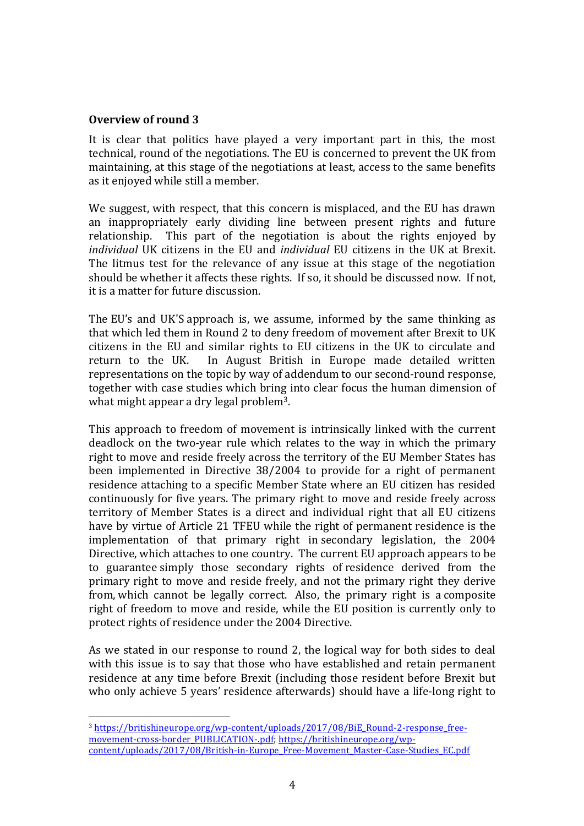### **Overview of round 3**

It is clear that politics have played a very important part in this, the most technical, round of the negotiations. The EU is concerned to prevent the UK from maintaining, at this stage of the negotiations at least, access to the same benefits as it enjoyed while still a member.

We suggest, with respect, that this concern is misplaced, and the EU has drawn an inappropriately early dividing line between present rights and future relationship. This part of the negotiation is about the rights enjoyed by *individual* UK citizens in the EU and *individual* EU citizens in the UK at Brexit. The litmus test for the relevance of any issue at this stage of the negotiation should be whether it affects these rights. If so, it should be discussed now. If not, it is a matter for future discussion.

The EU's and UK'S approach is, we assume, informed by the same thinking as that which led them in Round 2 to deny freedom of movement after Brexit to UK citizens in the EU and similar rights to EU citizens in the UK to circulate and return to the UK. In August British in Europe made detailed written representations on the topic by way of addendum to our second-round response, together with case studies which bring into clear focus the human dimension of what might appear a dry legal problem<sup>3</sup>.

This approach to freedom of movement is intrinsically linked with the current deadlock on the two-year rule which relates to the way in which the primary right to move and reside freely across the territory of the EU Member States has been implemented in Directive 38/2004 to provide for a right of permanent residence attaching to a specific Member State where an EU citizen has resided continuously for five years. The primary right to move and reside freely across territory of Member States is a direct and individual right that all EU citizens have by virtue of Article 21 TFEU while the right of permanent residence is the implementation of that primary right in secondary legislation, the 2004 Directive, which attaches to one country. The current EU approach appears to be to guarantee simply those secondary rights of residence derived from the primary right to move and reside freely, and not the primary right they derive from, which cannot be legally correct. Also, the primary right is a composite right of freedom to move and reside, while the EU position is currently only to protect rights of residence under the 2004 Directive.

As we stated in our response to round 2, the logical way for both sides to deal with this issue is to say that those who have established and retain permanent residence at any time before Brexit (including those resident before Brexit but who only achieve 5 years' residence afterwards) should have a life-long right to

<sup>3</sup> https://britishineurope.org/wp-content/uploads/2017/08/BiE\_Round-2-response\_freemovement-cross-border\_PUBLICATION-.pdf; https://britishineurope.org/wpcontent/uploads/2017/08/British-in-Europe\_Free-Movement\_Master-Case-Studies\_EC.pdf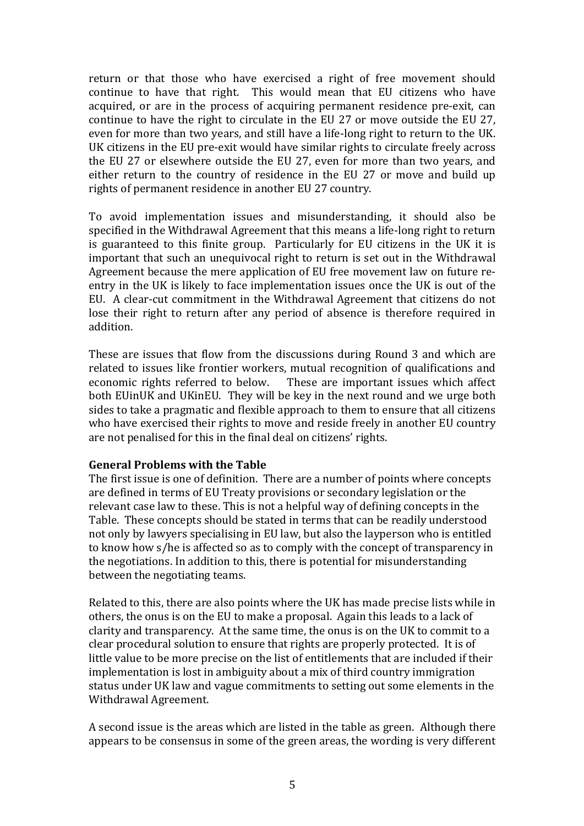return or that those who have exercised a right of free movement should continue to have that right. This would mean that EU citizens who have acquired, or are in the process of acquiring permanent residence pre-exit, can continue to have the right to circulate in the EU 27 or move outside the EU 27, even for more than two years, and still have a life-long right to return to the UK. UK citizens in the EU pre-exit would have similar rights to circulate freely across the EU 27 or elsewhere outside the EU 27, even for more than two years, and either return to the country of residence in the EU 27 or move and build up rights of permanent residence in another EU 27 country.

To avoid implementation issues and misunderstanding, it should also be specified in the Withdrawal Agreement that this means a life-long right to return is guaranteed to this finite group. Particularly for EU citizens in the UK it is important that such an unequivocal right to return is set out in the Withdrawal Agreement because the mere application of EU free movement law on future reentry in the UK is likely to face implementation issues once the UK is out of the EU. A clear-cut commitment in the Withdrawal Agreement that citizens do not lose their right to return after any period of absence is therefore required in addition.

These are issues that flow from the discussions during Round 3 and which are related to issues like frontier workers, mutual recognition of qualifications and economic rights referred to below. These are important issues which affect both EUinUK and UKinEU. They will be key in the next round and we urge both sides to take a pragmatic and flexible approach to them to ensure that all citizens who have exercised their rights to move and reside freely in another EU country are not penalised for this in the final deal on citizens' rights.

#### **General Problems with the Table**

The first issue is one of definition. There are a number of points where concepts are defined in terms of EU Treaty provisions or secondary legislation or the relevant case law to these. This is not a helpful way of defining concepts in the Table. These concepts should be stated in terms that can be readily understood not only by lawyers specialising in EU law, but also the layperson who is entitled to know how s/he is affected so as to comply with the concept of transparency in the negotiations. In addition to this, there is potential for misunderstanding between the negotiating teams.

Related to this, there are also points where the UK has made precise lists while in others, the onus is on the EU to make a proposal. Again this leads to a lack of clarity and transparency. At the same time, the onus is on the UK to commit to a clear procedural solution to ensure that rights are properly protected. It is of little value to be more precise on the list of entitlements that are included if their implementation is lost in ambiguity about a mix of third country immigration status under UK law and vague commitments to setting out some elements in the Withdrawal Agreement.

A second issue is the areas which are listed in the table as green. Although there appears to be consensus in some of the green areas, the wording is very different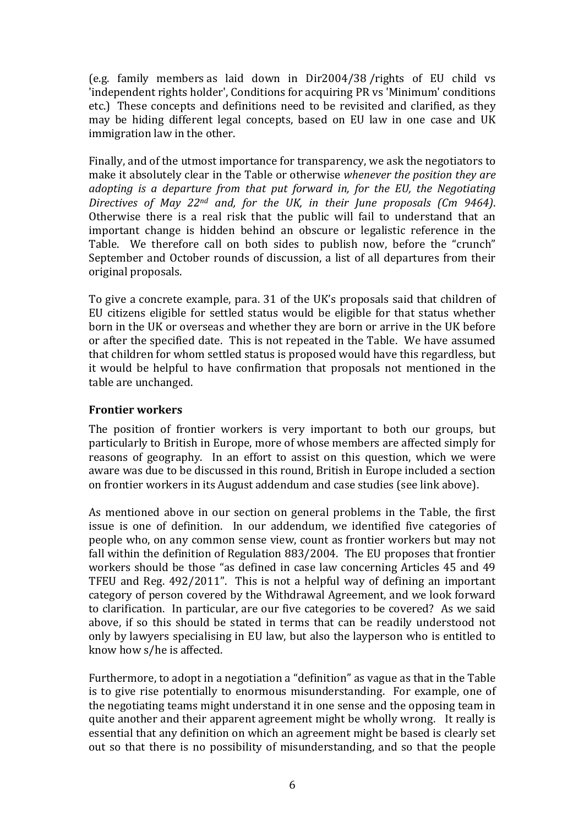(e.g. family members as laid down in  $Dir2004/38$  /rights of EU child vs Independent rights holder'. Conditions for acquiring PR vs 'Minimum' conditions' etc.) These concepts and definitions need to be revisited and clarified, as they may be hiding different legal concepts, based on EU law in one case and UK immigration law in the other.

Finally, and of the utmost importance for transparency, we ask the negotiators to make it absolutely clear in the Table or otherwise whenever the position they are *adopting* is a departure from that put forward in, for the EU, the Negotiating *Directives of May 22<sup>nd</sup> and, for the UK, in their June proposals (Cm 9464).* Otherwise there is a real risk that the public will fail to understand that an important change is hidden behind an obscure or legalistic reference in the Table. We therefore call on both sides to publish now, before the "crunch" September and October rounds of discussion, a list of all departures from their original proposals.

To give a concrete example, para. 31 of the UK's proposals said that children of EU citizens eligible for settled status would be eligible for that status whether born in the UK or overseas and whether they are born or arrive in the UK before or after the specified date. This is not repeated in the Table. We have assumed that children for whom settled status is proposed would have this regardless, but it would be helpful to have confirmation that proposals not mentioned in the table are unchanged.

#### **Frontier workers**

The position of frontier workers is very important to both our groups, but particularly to British in Europe, more of whose members are affected simply for reasons of geography. In an effort to assist on this question, which we were aware was due to be discussed in this round, British in Europe included a section on frontier workers in its August addendum and case studies (see link above).

As mentioned above in our section on general problems in the Table, the first issue is one of definition. In our addendum, we identified five categories of people who, on any common sense view, count as frontier workers but may not fall within the definition of Regulation  $883/2004$ . The EU proposes that frontier workers should be those "as defined in case law concerning Articles 45 and 49 TFEU and Reg.  $492/2011$ ". This is not a helpful way of defining an important category of person covered by the Withdrawal Agreement, and we look forward to clarification. In particular, are our five categories to be covered? As we said above, if so this should be stated in terms that can be readily understood not only by lawyers specialising in EU law, but also the layperson who is entitled to know how s/he is affected.

Furthermore, to adopt in a negotiation a "definition" as vague as that in the Table is to give rise potentially to enormous misunderstanding. For example, one of the negotiating teams might understand it in one sense and the opposing team in quite another and their apparent agreement might be wholly wrong. It really is essential that any definition on which an agreement might be based is clearly set out so that there is no possibility of misunderstanding, and so that the people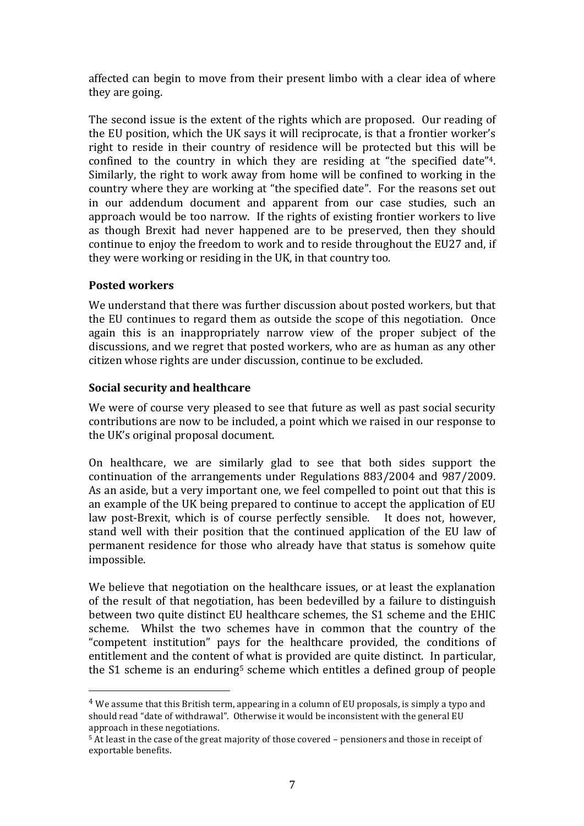affected can begin to move from their present limbo with a clear idea of where they are going.

The second issue is the extent of the rights which are proposed. Our reading of the EU position, which the UK says it will reciprocate, is that a frontier worker's right to reside in their country of residence will be protected but this will be confined to the country in which they are residing at "the specified date"<sup>4</sup>. Similarly, the right to work away from home will be confined to working in the country where they are working at "the specified date". For the reasons set out in our addendum document and apparent from our case studies, such an approach would be too narrow. If the rights of existing frontier workers to live as though Brexit had never happened are to be preserved, then they should continue to enjoy the freedom to work and to reside throughout the EU27 and, if they were working or residing in the UK, in that country too.

## **Posted workers**

We understand that there was further discussion about posted workers, but that the EU continues to regard them as outside the scope of this negotiation. Once again this is an inappropriately narrow view of the proper subject of the discussions, and we regret that posted workers, who are as human as any other citizen whose rights are under discussion, continue to be excluded.

## **Social security and healthcare**

 

We were of course very pleased to see that future as well as past social security contributions are now to be included, a point which we raised in our response to the UK's original proposal document.

On healthcare, we are similarly glad to see that both sides support the continuation of the arrangements under Regulations 883/2004 and 987/2009. As an aside, but a very important one, we feel compelled to point out that this is an example of the UK being prepared to continue to accept the application of EU law post-Brexit, which is of course perfectly sensible. It does not, however, stand well with their position that the continued application of the EU law of permanent residence for those who already have that status is somehow quite impossible.

We believe that negotiation on the healthcare issues, or at least the explanation of the result of that negotiation, has been bedevilled by a failure to distinguish between two quite distinct EU healthcare schemes, the S1 scheme and the EHIC scheme. Whilst the two schemes have in common that the country of the "competent institution" pays for the healthcare provided, the conditions of entitlement and the content of what is provided are quite distinct. In particular, the S1 scheme is an enduring<sup>5</sup> scheme which entitles a defined group of people

 $4$  We assume that this British term, appearing in a column of EU proposals, is simply a typo and should read "date of withdrawal". Otherwise it would be inconsistent with the general EU approach in these negotiations.

 $5$  At least in the case of the great majority of those covered – pensioners and those in receipt of exportable benefits.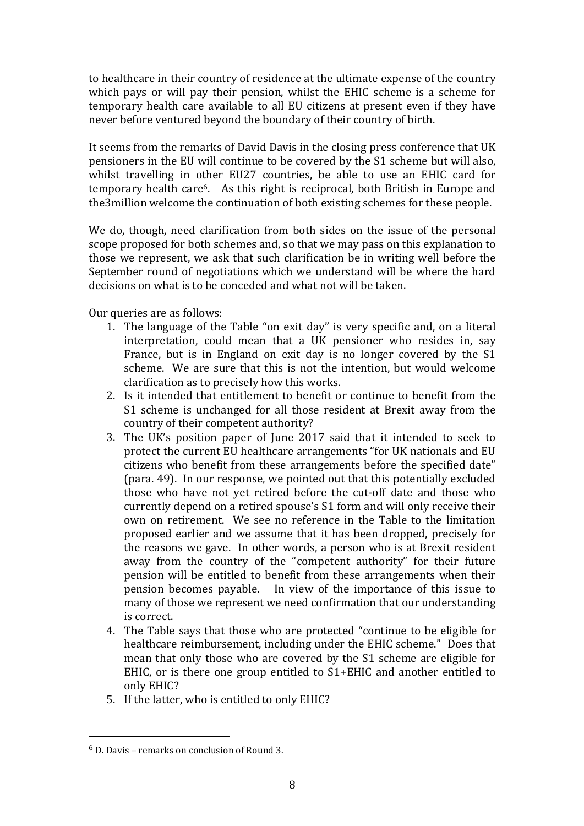to healthcare in their country of residence at the ultimate expense of the country which pays or will pay their pension, whilst the EHIC scheme is a scheme for temporary health care available to all EU citizens at present even if they have never before ventured beyond the boundary of their country of birth.

It seems from the remarks of David Davis in the closing press conference that UK pensioners in the EU will continue to be covered by the S1 scheme but will also, whilst travelling in other EU27 countries, be able to use an EHIC card for temporary health care<sup>6</sup>. As this right is reciprocal, both British in Europe and the 3 million welcome the continuation of both existing schemes for these people.

We do, though, need clarification from both sides on the issue of the personal scope proposed for both schemes and, so that we may pass on this explanation to those we represent, we ask that such clarification be in writing well before the September round of negotiations which we understand will be where the hard decisions on what is to be conceded and what not will be taken.

Our queries are as follows:

- 1. The language of the Table "on exit day" is very specific and, on a literal interpretation, could mean that a UK pensioner who resides in, say France, but is in England on exit day is no longer covered by the  $S1$ scheme. We are sure that this is not the intention, but would welcome clarification as to precisely how this works.
- 2. Is it intended that entitlement to benefit or continue to benefit from the S1 scheme is unchanged for all those resident at Brexit away from the country of their competent authority?
- 3. The UK's position paper of June 2017 said that it intended to seek to protect the current EU healthcare arrangements "for UK nationals and EU citizens who benefit from these arrangements before the specified date" (para, 49). In our response, we pointed out that this potentially excluded those who have not yet retired before the cut-off date and those who currently depend on a retired spouse's S1 form and will only receive their own on retirement. We see no reference in the Table to the limitation proposed earlier and we assume that it has been dropped, precisely for the reasons we gave. In other words, a person who is at Brexit resident away from the country of the "competent authority" for their future pension will be entitled to benefit from these arrangements when their pension becomes payable. In view of the importance of this issue to many of those we represent we need confirmation that our understanding is correct.
- 4. The Table says that those who are protected "continue to be eligible for healthcare reimbursement, including under the EHIC scheme." Does that mean that only those who are covered by the S1 scheme are eligible for EHIC, or is there one group entitled to  $S1+EHIC$  and another entitled to only EHIC?
- 5. If the latter, who is entitled to only EHIC?

 $6$  D. Davis – remarks on conclusion of Round 3.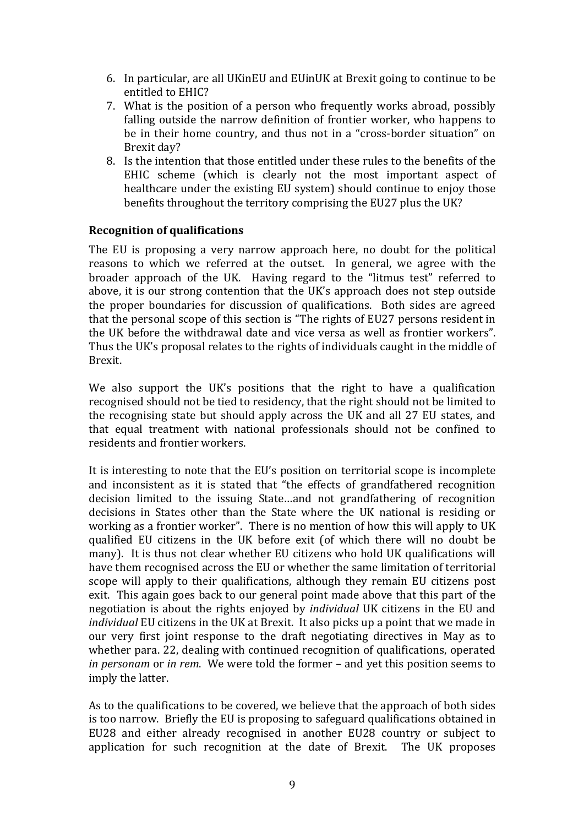- 6. In particular, are all UKinEU and EUinUK at Brexit going to continue to be entitled to EHIC?
- 7. What is the position of a person who frequently works abroad, possibly falling outside the narrow definition of frontier worker, who happens to be in their home country, and thus not in a "cross-border situation" on Brexit day?
- 8. Is the intention that those entitled under these rules to the benefits of the EHIC scheme (which is clearly not the most important aspect of healthcare under the existing EU system) should continue to enjoy those benefits throughout the territory comprising the EU27 plus the UK?

#### **Recognition of qualifications**

The EU is proposing a very narrow approach here, no doubt for the political reasons to which we referred at the outset. In general, we agree with the broader approach of the UK. Having regard to the "litmus test" referred to above, it is our strong contention that the UK's approach does not step outside the proper boundaries for discussion of qualifications. Both sides are agreed that the personal scope of this section is "The rights of EU27 persons resident in the UK before the withdrawal date and vice versa as well as frontier workers". Thus the UK's proposal relates to the rights of individuals caught in the middle of Brexit.

We also support the UK's positions that the right to have a qualification recognised should not be tied to residency, that the right should not be limited to the recognising state but should apply across the UK and all 27 EU states, and that equal treatment with national professionals should not be confined to residents and frontier workers.

It is interesting to note that the EU's position on territorial scope is incomplete and inconsistent as it is stated that "the effects of grandfathered recognition decision limited to the issuing State...and not grandfathering of recognition decisions in States other than the State where the UK national is residing or working as a frontier worker". There is no mention of how this will apply to UK qualified EU citizens in the UK before exit (of which there will no doubt be many). It is thus not clear whether EU citizens who hold UK qualifications will have them recognised across the EU or whether the same limitation of territorial scope will apply to their qualifications, although they remain EU citizens post exit. This again goes back to our general point made above that this part of the negotiation is about the rights enjoyed by *individual* UK citizens in the EU and *individual* EU citizens in the UK at Brexit. It also picks up a point that we made in our very first joint response to the draft negotiating directives in May as to whether para. 22, dealing with continued recognition of qualifications, operated *in personam* or *in rem*. We were told the former – and yet this position seems to imply the latter.

As to the qualifications to be covered, we believe that the approach of both sides is too narrow. Briefly the EU is proposing to safeguard qualifications obtained in EU28 and either already recognised in another EU28 country or subject to application for such recognition at the date of Brexit. The UK proposes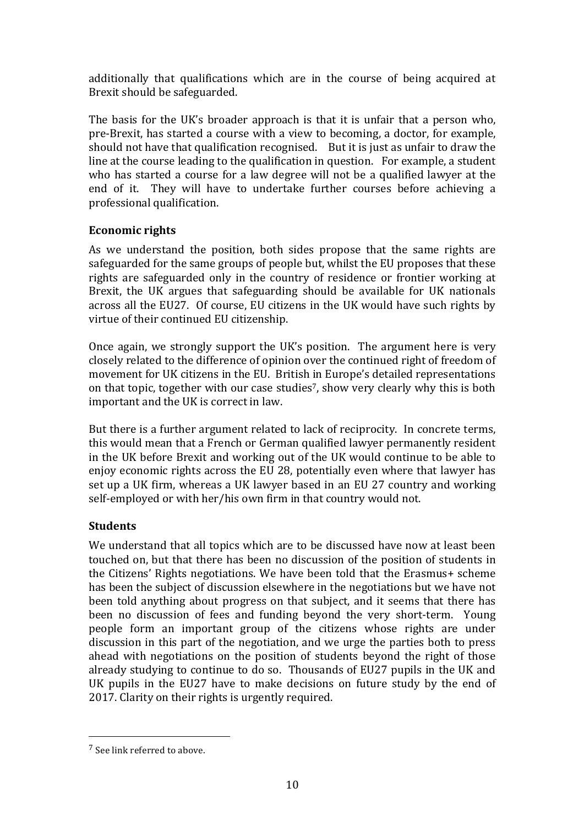additionally that qualifications which are in the course of being acquired at Brexit should be safeguarded.

The basis for the UK's broader approach is that it is unfair that a person who, pre-Brexit, has started a course with a view to becoming, a doctor, for example, should not have that qualification recognised. But it is just as unfair to draw the line at the course leading to the qualification in question. For example, a student who has started a course for a law degree will not be a qualified lawyer at the end of it. They will have to undertake further courses before achieving a professional qualification.

## **Economic rights**

As we understand the position, both sides propose that the same rights are safeguarded for the same groups of people but, whilst the EU proposes that these rights are safeguarded only in the country of residence or frontier working at Brexit, the UK argues that safeguarding should be available for UK nationals across all the EU27. Of course, EU citizens in the UK would have such rights by virtue of their continued EU citizenship.

Once again, we strongly support the UK's position. The argument here is very closely related to the difference of opinion over the continued right of freedom of movement for UK citizens in the EU. British in Europe's detailed representations on that topic, together with our case studies<sup>7</sup>, show very clearly why this is both important and the UK is correct in law.

But there is a further argument related to lack of reciprocity. In concrete terms, this would mean that a French or German qualified lawyer permanently resident in the UK before Brexit and working out of the UK would continue to be able to enjoy economic rights across the EU 28, potentially even where that lawyer has set up a UK firm, whereas a UK lawyer based in an EU 27 country and working self-employed or with her/his own firm in that country would not.

## **Students**

We understand that all topics which are to be discussed have now at least been touched on, but that there has been no discussion of the position of students in the Citizens' Rights negotiations. We have been told that the Erasmus+ scheme has been the subject of discussion elsewhere in the negotiations but we have not been told anything about progress on that subject, and it seems that there has been no discussion of fees and funding beyond the very short-term. Young people form an important group of the citizens whose rights are under discussion in this part of the negotiation, and we urge the parties both to press ahead with negotiations on the position of students beyond the right of those already studying to continue to do so. Thousands of EU27 pupils in the UK and UK pupils in the EU27 have to make decisions on future study by the end of 2017. Clarity on their rights is urgently required.

<sup>7</sup> See link referred to above.